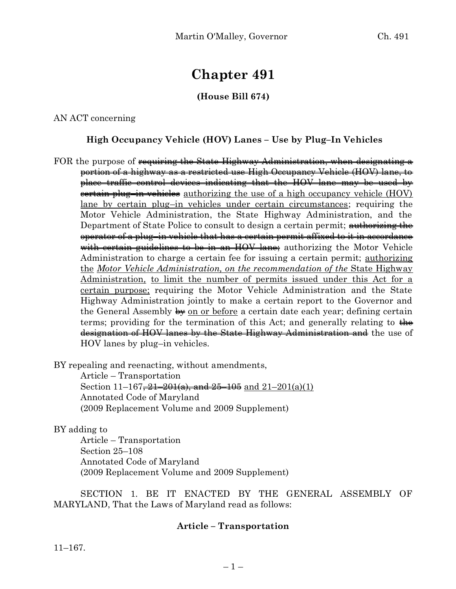# **Chapter 491**

## **(House Bill 674)**

AN ACT concerning

### **High Occupancy Vehicle (HOV) Lanes – Use by Plug–In Vehicles**

FOR the purpose of requiring the State Highway Administration, when designating a portion of a highway as a restricted use High Occupancy Vehicle (HOV) lane, to place traffic control devices indicating that the HOV lane may be used by certain plug–in vehicles authorizing the use of a high occupancy vehicle (HOV) lane by certain plug–in vehicles under certain circumstances; requiring the Motor Vehicle Administration, the State Highway Administration, and the Department of State Police to consult to design a certain permit; authorizing the operator of a plug–in vehicle that has a certain permit affixed to it in accordance with certain guidelines to be in an HOV lane; authorizing the Motor Vehicle Administration to charge a certain fee for issuing a certain permit; authorizing the *Motor Vehicle Administration, on the recommendation of the* State Highway Administration*,* to limit the number of permits issued under this Act for a certain purpose; requiring the Motor Vehicle Administration and the State Highway Administration jointly to make a certain report to the Governor and the General Assembly  $\frac{1}{2}$  on or before a certain date each year; defining certain terms; providing for the termination of this Act; and generally relating to  $\frac{1}{\sqrt{1+\epsilon}}$ designation of HOV lanes by the State Highway Administration and the use of HOV lanes by plug–in vehicles.

BY repealing and reenacting, without amendments,

Article – Transportation Section  $11-167$ ,  $21-201(a)$ , and  $25-105$  and  $21-201(a)(1)$ Annotated Code of Maryland (2009 Replacement Volume and 2009 Supplement)

BY adding to

Article – Transportation Section 25–108 Annotated Code of Maryland (2009 Replacement Volume and 2009 Supplement)

SECTION 1. BE IT ENACTED BY THE GENERAL ASSEMBLY OF MARYLAND, That the Laws of Maryland read as follows:

#### **Article – Transportation**

11–167.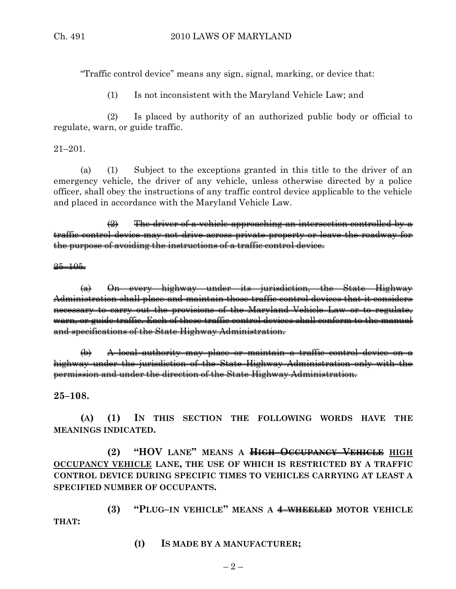"Traffic control device" means any sign, signal, marking, or device that:

(1) Is not inconsistent with the Maryland Vehicle Law; and

(2) Is placed by authority of an authorized public body or official to regulate, warn, or guide traffic.

21–201.

(a) (1) Subject to the exceptions granted in this title to the driver of an emergency vehicle, the driver of any vehicle, unless otherwise directed by a police officer, shall obey the instructions of any traffic control device applicable to the vehicle and placed in accordance with the Maryland Vehicle Law.

 $\left( 2\right)$  The driver of a vehicle approaching an intersection controlled by a traffic control device may not drive across private property or leave the roadway for the purpose of avoiding the instructions of a traffic control device.

 $25 - 105$ .

(a) On every highway under its jurisdiction, the State Highway Administration shall place and maintain those traffic control devices that it considers necessary to carry out the provisions of the Maryland Vehicle Law or to regulate, warn, or guide traffic. Each of these traffic control devices shall conform to the manual and specifications of the State Highway Administration.

(b) A local authority may place or maintain a traffic control device on a highway under the jurisdiction of the State Highway Administration only with the permission and under the direction of the State Highway Administration.

**25–108.**

**(A) (1) IN THIS SECTION THE FOLLOWING WORDS HAVE THE MEANINGS INDICATED.**

**(2) "HOV LANE" MEANS A HIGH OCCUPANCY VEHICLE HIGH OCCUPANCY VEHICLE LANE, THE USE OF WHICH IS RESTRICTED BY A TRAFFIC CONTROL DEVICE DURING SPECIFIC TIMES TO VEHICLES CARRYING AT LEAST A SPECIFIED NUMBER OF OCCUPANTS.**

**(3) "PLUG–IN VEHICLE" MEANS A 4–WHEELED MOTOR VEHICLE THAT:**

**(I) IS MADE BY A MANUFACTURER;**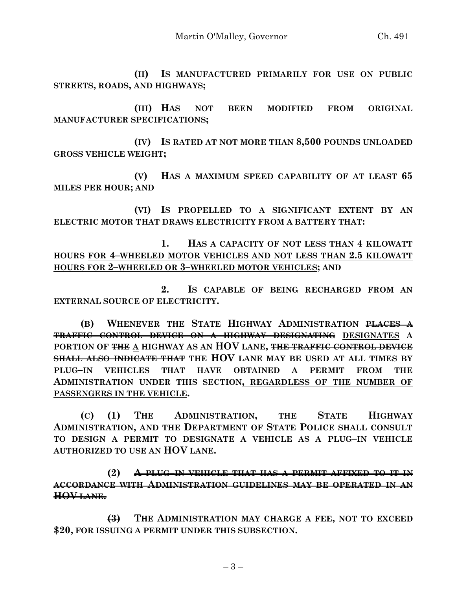**(II) IS MANUFACTURED PRIMARILY FOR USE ON PUBLIC STREETS, ROADS, AND HIGHWAYS;**

**(III) HAS NOT BEEN MODIFIED FROM ORIGINAL MANUFACTURER SPECIFICATIONS;**

**(IV) IS RATED AT NOT MORE THAN 8,500 POUNDS UNLOADED GROSS VEHICLE WEIGHT;**

**(V) HAS A MAXIMUM SPEED CAPABILITY OF AT LEAST 65 MILES PER HOUR; AND**

**(VI) IS PROPELLED TO A SIGNIFICANT EXTENT BY AN ELECTRIC MOTOR THAT DRAWS ELECTRICITY FROM A BATTERY THAT:**

**1. HAS A CAPACITY OF NOT LESS THAN 4 KILOWATT HOURS FOR 4–WHEELED MOTOR VEHICLES AND NOT LESS THAN 2.5 KILOWATT HOURS FOR 2–WHEELED OR 3–WHEELED MOTOR VEHICLES; AND**

**2. IS CAPABLE OF BEING RECHARGED FROM AN EXTERNAL SOURCE OF ELECTRICITY.**

**(B) WHENEVER THE STATE HIGHWAY ADMINISTRATION PLACES A TRAFFIC CONTROL DEVICE ON A HIGHWAY DESIGNATING DESIGNATES A PORTION OF THE A HIGHWAY AS AN HOV LANE, THE TRAFFIC CONTROL DEVICE SHALL ALSO INDICATE THAT THE HOV LANE MAY BE USED AT ALL TIMES BY PLUG–IN VEHICLES THAT HAVE OBTAINED A PERMIT FROM THE ADMINISTRATION UNDER THIS SECTION, REGARDLESS OF THE NUMBER OF PASSENGERS IN THE VEHICLE.**

**(C) (1) THE ADMINISTRATION, THE STATE HIGHWAY ADMINISTRATION, AND THE DEPARTMENT OF STATE POLICE SHALL CONSULT TO DESIGN A PERMIT TO DESIGNATE A VEHICLE AS A PLUG–IN VEHICLE AUTHORIZED TO USE AN HOV LANE.**

**(2) A PLUG–IN VEHICLE THAT HAS A PERMIT AFFIXED TO IT IN ACCORDANCE WITH ADMINISTRATION GUIDELINES MAY BE OPERATED IN AN HOV LANE.**

**(3) THE ADMINISTRATION MAY CHARGE A FEE, NOT TO EXCEED \$20, FOR ISSUING A PERMIT UNDER THIS SUBSECTION.**